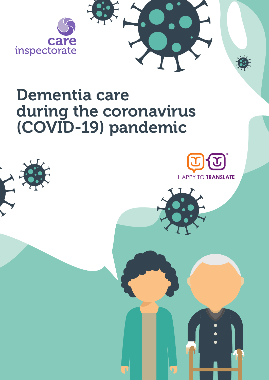

Dementia care during the coronavirus (COVID-19) pandemic www.careinspectorate.com



# Dementia care during the coronavirus (COVID-19) pandemic

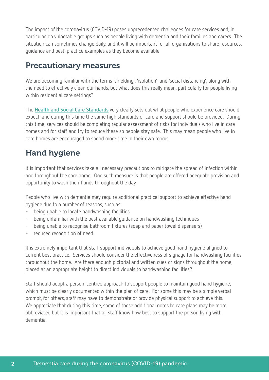The impact of the coronavirus (COVID-19) poses unprecedented challenges for care services and, in particular, on vulnerable groups such as people living with dementia and their families and carers. The situation can sometimes change daily, and it will be important for all organisations to share resources, guidance and best-practice examples as they become available.

#### Precautionary measures

We are becoming familiar with the terms 'shielding', 'isolation', and 'social distancing', along with the need to effectively clean our hands, but what does this really mean, particularly for people living within residential care settings?

The **[Health and Social Care Standards](http://www.newcarestandards.scot/)** very clearly sets out what people who experience care should expect, and during this time the same high standards of care and support should be provided. During this time, services should be completing regular assessment of risks for individuals who live in care homes and for staff and try to reduce these so people stay safe. This may mean people who live in care homes are encouraged to spend more time in their own rooms.

# Hand hygiene

It is important that services take all necessary precautions to mitigate the spread of infection within and throughout the care home. One such measure is that people are offered adequate provision and opportunity to wash their hands throughout the day.

People who live with dementia may require additional practical support to achieve effective hand hygiene due to a number of reasons, such as:

- being unable to locate handwashing facilities
- being unfamiliar with the best available guidance on handwashing techniques
- being unable to recognise bathroom fixtures (soap and paper towel dispensers)
- reduced recognition of need.

2

It is extremely important that staff support individuals to achieve good hand hygiene aligned to current best practice. Services should consider the effectiveness of signage for handwashing facilities throughout the home. Are there enough pictorial and written cues or signs throughout the home, placed at an appropriate height to direct individuals to handwashing facilities?

Staff should adopt a person-centred approach to support people to maintain good hand hygiene, which must be clearly documented within the plan of care. For some this may be a simple verbal prompt, for others, staff may have to demonstrate or provide physical support to achieve this. We appreciate that during this time, some of these additional notes to care plans may be more abbreviated but it is important that all staff know how best to support the person living with dementia.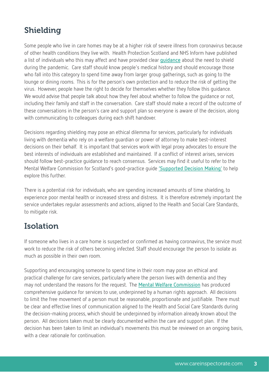# Shielding

Some people who live in care homes may be at a higher risk of severe illness from coronavirus because of other health conditions they live with. Health Protection Scotland and NHS Inform have published a list of individuals who this may affect and have provided clear **[guidance](https://www.nhsinform.scot/illnesses-and-conditions/infections-and-poisoning/coronavirus-covid-19/coronavirus-covid-19-shielding)** about the need to shield during the pandemic. Care staff should know people's medical history and should encourage those who fall into this category to spend time away from larger group gatherings, such as going to the lounge or dining rooms. This is for the person's own protection and to reduce the risk of getting the virus. However, people have the right to decide for themselves whether they follow this guidance. We would advise that people talk about how they feel about whether to follow the quidance or not, including their family and staff in the conversation. Care staff should make a record of the outcome of these conversations in the person's care and support plan so everyone is aware of the decision, along with communicating to colleagues during each shift handover.

Decisions regarding shielding may pose an ethical dilemma for services, particularly for individuals living with dementia who rely on a welfare guardian or power of attorney to make best-interest decisions on their behalf. It is important that services work with legal proxy advocates to ensure the best interests of individuals are established and maintained. If a conflict of interest arises, services should follow best-practice guidance to reach consensus. Services may find it useful to refer to the Mental Welfare Commission for Scotland's good-practice guide **['Supported Decision Making'](https://www.mwcscot.org.uk/sites/default/files/2019-06/mwc_sdm_draft_gp_guide_10__post_board__jw_final.pdf)** to help explore this further.

There is a potential risk for individuals, who are spending increased amounts of time shielding, to experience poor mental health or increased stress and distress. It is therefore extremely important the service undertakes regular assessments and actions, aligned to the Health and Social Care Standards, to mitigate risk.

# Isolation

If someone who lives in a care home is suspected or confirmed as having coronavirus, the service must work to reduce the risk of others becoming infected. Staff should encourage the person to isolate as much as possible in their own room.

Supporting and encouraging someone to spend time in their room may pose an ethical and practical challenge for care services, particularly where the person lives with dementia and they may not understand the reasons for the request. The **[Mental Welfare Commission](https://www.mwcscot.org.uk/)** has produced comprehensive guidance for services to use, underpinned by a human rights approach. All decisions to limit the free movement of a person must be reasonable, proportionate and justifiable. There must be clear and effective lines of communication aligned to the Health and Social Care Standards during the decision-making process, which should be underpinned by information already known about the person. All decisions taken must be clearly documented within the care and support plan. If the decision has been taken to limit an individual's movements this must be reviewed on an ongoing basis, with a clear rationale for continuation.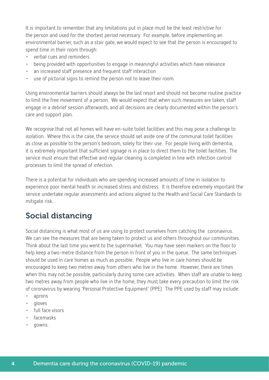It is important to remember that any limitations put in place must be the least restrictive for the person and used for the shortest period necessary. For example, before implementing an environmental barrier, such as a stair gate, we would expect to see that the person is encouraged to spend time in their room through:

- verbal cues and reminders
- being provided with opportunities to engage in meaningful activities which have relevance
- an increased staff presence and frequent staff interaction
- use of pictorial signs to remind the person not to leave their room.

Using environmental barriers should always be the last resort and should not become routine practice to limit the free movement of a person. We would expect that when such measures are taken, staff engage in a debrief session afterwards, and all decisions are clearly documented within the person's care and support plan.

We recognise that not all homes will have en-suite toilet facilities and this may pose a challenge to isolation. Where this is the case, the service should set aside one of the communal toilet facilities as close as possible to the person's bedroom, solely for their use. For people living with dementia, it is extremely important that sufficient signage is in place to direct them to the toilet facilities. The service must ensure that effective and regular cleaning is completed in line with infection control processes to limit the spread of infection.

There is a potential for individuals who are spending increased amounts of time in isolation to experience poor mental health or increased stress and distress. It is therefore extremely important the service undertake regular assessments and actions aligned to the Health and Social Care Standards to mitigate risk.

# Social distancing

Social distancing is what most of us are using to protect ourselves from catching the coronavirus. We can see the measures that are being taken to protect us and others throughout our communities. Think about the last time you went to the supermarket. You may have seen markers on the floor to help keep a two-metre distance from the person in front of you in the queue. The same techniques should be used in care homes as much as possible. People who live in care homes should be encouraged to keep two metres away from others who live in the home. However, there are times when this may not be possible, particularly during some care activities. When staff are unable to keep two metres away from people who live in the home, they must take every precaution to limit the risk of coronavirus by wearing 'Personal Protective Equipment' (PPE). The PPE used by staff may include:

- aprons
- gloves
- full face visors
- facemasks
- gowns.

4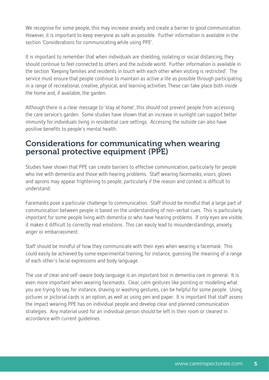We recognise for some people, this may increase anxiety and create a barrier to good communication. However, it is important to keep everyone as safe as possible. Further information is available in the section 'Considerations for communicating while using PPE'.

It is important to remember that when individuals are shielding, isolating or social distancing, they should continue to feel connected to others and the outside world. Further information is available in the section 'Keeping families and residents in touch with each other when visiting is restricted'. The service must ensure that people continue to maintain as active a life as possible through participating in a range of recreational, creative, physical, and learning activities. These can take place both inside the home and, if available, the garden.

Although there is a clear message to 'stay at home', this should not prevent people from accessing the care service's garden. Some studies have shown that an increase in sunlight can support better immunity for individuals living in residential care settings. Accessing the outside can also have positive benefits to people's mental health.

#### Considerations for communicating when wearing personal protective equipment (PPE)

Studies have shown that PPE can create barriers to effective communication, particularly for people who live with dementia and those with hearing problems. Staff wearing facemasks, visors, gloves and aprons may appear frightening to people, particularly if the reason and context is difficult to understand.

Facemasks pose a particular challenge to communication. Staff should be mindful that a large part of communication between people is based on the understanding of non-verbal cues. This is particularly important for some people living with dementia or who have hearing problems. If only eyes are visible, it makes it difficult to correctly read emotions. This can easily lead to misunderstandings, anxiety, anger or embarrassment.

Staff should be mindful of how they communicate with their eyes when wearing a facemask. This could easily be achieved by some experimental training, for instance, guessing the meaning of a range of each other's facial expressions and body language.

The use of clear and self-aware body language is an important tool in dementia care in general. It is even more important when wearing facemasks. Clear, calm gestures like pointing or modelling what you are trying to say, for instance, shaving or washing gestures, can be helpful for some people. Using pictures or pictorial cards is an option, as well as using pen and paper. It is important that staff assess the impact wearing PPE has on individual people and develop clear and planned communication strategies. Any material used for an individual person should be left in their room or cleaned in accordance with current guidelines.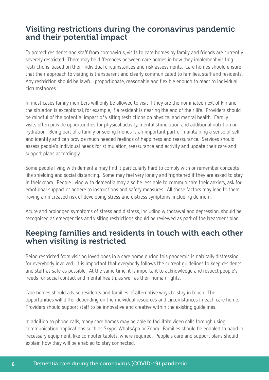### Visiting restrictions during the coronavirus pandemic and their potential impact

To protect residents and staff from coronavirus, visits to care homes by family and friends are currently severely restricted. There may be differences between care homes in how they implement visiting restrictions, based on their individual circumstances and risk assessments. Care homes should ensure that their approach to visiting is transparent and clearly communicated to families, staff and residents. Any restriction should be lawful, proportionate, reasonable and flexible enough to react to individual circumstances.

In most cases family members will only be allowed to visit if they are the nominated next of kin and the situation is exceptional, for example, if a resident is nearing the end of their life. Providers should be mindful of the potential impact of visiting restrictions on physical and mental health. Family visits often provide opportunities for physical activity, mental stimulation and additional nutrition or hydration. Being part of a family or seeing friends is an important part of maintaining a sense of self and identity and can provide much needed feelings of happiness and reassurance. Services should assess people's individual needs for stimulation, reassurance and activity and update their care and support plans accordingly.

Some people living with dementia may find it particularly hard to comply with or remember concepts like shielding and social distancing. Some may feel very lonely and frightened if they are asked to stay in their room. People living with dementia may also be less able to communicate their anxiety, ask for emotional support or adhere to instructions and safety measures. All these factors may lead to them having an increased risk of developing stress and distress symptoms, including delirium.

Acute and prolonged symptoms of stress and distress, including withdrawal and depression, should be recognised as emergencies and visiting restrictions should be reviewed as part of the treatment plan.

#### Keeping families and residents in touch with each other when visiting is restricted

Being restricted from visiting loved ones in a care home during this pandemic is naturally distressing for everybody involved. It is important that everybody follows the current guidelines to keep residents and staff as safe as possible. At the same time, it is important to acknowledge and respect people's needs for social contact and mental health, as well as their human rights.

Care homes should advise residents and families of alternative ways to stay in touch. The opportunities will differ depending on the individual resources and circumstances in each care home. Providers should support staff to be innovative and creative within the existing guidelines.

In addition to phone calls, many care homes may be able to facilitate video calls through using communication applications such as Skype, WhatsApp or Zoom. Families should be enabled to hand in necessary equipment, like computer tablets, where required. People's care and support plans should explain how they will be enabled to stay connected.

6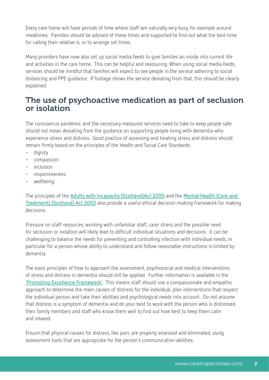Every care home will have periods of time where staff are naturally very busy, for example around mealtimes. Families should be advised of these times and supported to find out what the best time for calling their relative is, or to arrange set times.

Many providers have now also set up social media feeds to give families an inside into current life and activities in the care home. This can be helpful and reassuring. When using social media feeds, services should be mindful that families will expect to see people in the service adhering to social distancing and PPE guidance. If footage shows the service deviating from that, this should be clearly explained.

#### The use of psychoactive medication as part of seclusion or isolation

The coronavirus pandemic and the necessary measures services need to take to keep people safe should not mean deviating from the guidance on supporting people living with dementia who experience stress and distress. Good practice of assessing and treating stress and distress should remain firmly based on the principles of the Health and Social Care Standards:

- dignity
- compassion
- inclusion
- responsiveness
- wellbeing.

The principles of the **[Adults with Incapacity \(Scotland\)Act 2000](http://www.legislation.gov.uk/asp/2000/4/contents)** and the **[Mental Health \(Care and](http://www.legislation.gov.uk/asp/2003/13/contents)  [Treatment\) \(Scotland\) Act 2003](http://www.legislation.gov.uk/asp/2003/13/contents)** also provide a useful ethical decision-making framework for making decisions.

Pressure on staff resources, working with unfamiliar staff, carer stress and the possible need for seclusion or isolation will likely lead to difficult individual situations and decisions. It can be challenging to balance the needs for preventing and controlling infection with individual needs, in particular for a person whose ability to understand and follow reasonable instructions is limited by dementia.

The basic principles of how to approach the assessment, psychosocial and medical interventions of stress and distress in dementia should still be applied. Further information is available in the **['Promoting Excellence Framework'](http://www.knowledge.scot.nhs.uk/home/portals-and-topics/dementia-promoting-excellence.aspx)**. This means staff should use a compassionate and empathic approach to determine the main causes of distress for the individual, plan interventions that respect the individual person and take their abilities and psychological needs into account. Do not assume that distress is a symptom of dementia and do your best to work with the person who is distressed, their family members and staff who know them well to find out how best to keep them calm and relaxed.

Ensure that physical causes for distress, like pain, are properly assessed and eliminated, using assessment tools that are appropriate for the person's communication abilities.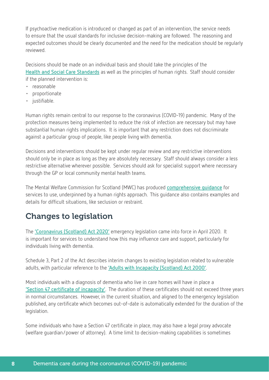If psychoactive medication is introduced or changed as part of an intervention, the service needs to ensure that the usual standards for inclusive decision-making are followed. The reasoning and expected outcomes should be clearly documented and the need for the medication should be regularly reviewed.

Decisions should be made on an individual basis and should take the principles of the **[Health and Social Care Standards](http://www.newcarestandards.scot/)** as well as the principles of human rights. Staff should consider if the planned intervention is:

- reasonable
- proportionate
- justifiable.

Human rights remain central to our response to the coronavirus (COVID-19) pandemic. Many of the protection measures being implemented to reduce the risk of infection are necessary but may have substantial human rights implications. It is important that any restriction does not discriminate against a particular group of people, like people living with dementia.

Decisions and interventions should be kept under regular review and any restrictive interventions should only be in place as long as they are absolutely necessary. Staff should always consider a less restrictive alternative wherever possible. Services should ask for specialist support where necessary through the GP or local community mental health teams.

The Mental Welfare Commission for Scotland (MWC) has produced **c[omprehensive guidance](https://www.mwcscot.org.uk/sites/default/files/2020-04/Covid-19%20advice%20note%20v6%2023%20April%202020.pdf)** for services to use, underpinned by a human rights approach. This guidance also contains examples and details for difficult situations, like seclusion or restraint.

# Changes to legislation

The **['Coronavirus \(Scotland\) Act 2020'](http://www.legislation.gov.uk/asp/2020/7/contents)** emergency legislation came into force in April 2020. It is important for services to understand how this may influence care and support, particularly for individuals living with dementia.

Schedule 3, Part 2 of the Act describes interim changes to existing legislation related to vulnerable adults, with particular reference to the **['Adults with Incapacity \(Scotland\) Act 2000'](http://www.legislation.gov.uk/asp/2000/4/contents)**.

Most individuals with a diagnosis of dementia who live in care homes will have in place a **['Section 47 certificate of incapacity'](https://www.gov.scot/publications/section-47-certificate/)**. The duration of these certificates should not exceed three years in normal circumstances. However, in the current situation, and aligned to the emergency legislation published, any certificate which becomes out-of-date is automatically extended for the duration of the legislation.

Some individuals who have a Section 47 certificate in place, may also have a legal proxy advocate (welfare guardian/power of attorney). A time limit to decision-making capabilities is sometimes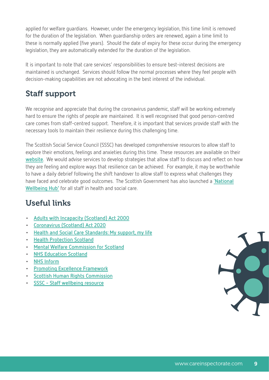applied for welfare guardians. However, under the emergency legislation, this time limit is removed for the duration of the legislation. When guardianship orders are renewed, again a time limit to these is normally applied (five years). Should the date of expiry for these occur during the emergency legislation, they are automatically extended for the duration of the legislation.

It is important to note that care services' responsibilities to ensure best-interest decisions are maintained is unchanged. Services should follow the normal processes where they feel people with decision-making capabilities are not advocating in the best interest of the individual.

# Staff support

We recognise and appreciate that during the coronavirus pandemic, staff will be working extremely hard to ensure the rights of people are maintained. It is well recognised that good person-centred care comes from staff-centred support. Therefore, it is important that services provide staff with the necessary tools to maintain their resilience during this challenging time.

The Scottish Social Service Council (SSSC) has developed comprehensive resources to allow staff to explore their emotions, feelings and anxieties during this time. These resources are available on their **[website](https://learn.sssc.uk.com/wellbeing/)**. We would advise services to develop strategies that allow staff to discuss and reflect on how they are feeling and explore ways that resilience can be achieved. For example, it may be worthwhile to have a daily debrief following the shift handover to allow staff to express what challenges they have faced and celebrate good outcomes. The Scottish Government has also launched a '**[National](https://www.promis.scot/)  [Wellbeing Hub'](https://www.promis.scot/)** for all staff in health and social care.

# Useful links

- **• [Adults with Incapacity \(Scotland\) Act 2000](http://www.legislation.gov.uk/asp/2000/4/contents)**
- **• [Coronavirus \(Scotland\) Act 2020](http://www.legislation.gov.uk/asp/2020/7/contents)**
- **• [Health and Social Care Standards: My support, my life](http://www.newcarestandards.scot/)**
- **• [Health Protection Scotland](https://www.hps.scot.nhs.uk/)**
- **• [Mental Welfare Commission for Scotland](https://www.mwcscot.org.uk/)**
- **• [NHS Education Scotland](https://www.nes.scot.nhs.uk/)**
- **• [NHS Inform](https://www.nhsinform.scot/)**
- **• [Promoting Excellence Framework](http://www.knowledge.scot.nhs.uk/home/portals-and-topics/dementia-promoting-excellence.aspx)**
- **• [Scottish Human Rights Commission](https://www.scottishhumanrights.com/)**
- **• [SSSC Staff wellbeing resource](https://learn.sssc.uk.com/wellbeing/)**